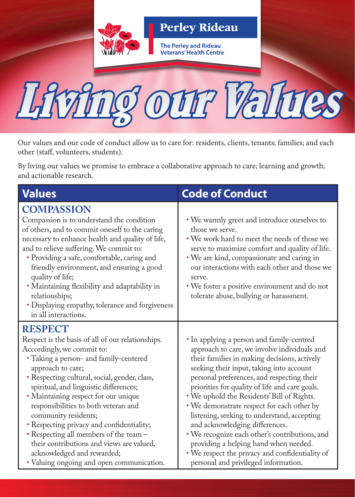

Living our Values

Our values and our code of conduct allow us to care for: residents, clients, tenants; families; and each other (staff, volunteers, students).

By living our values we promise to embrace a collaborative approach to care; learning and growth; and actionable research.

| <b>Values</b>                                                                                                                                                                                                                                                                                                                                                                                                                                                                                                                                                                      | <b>Code of Conduct</b>                                                                                                                                                                                                                                                                                                                                                                                                                                                                                                                                                                                                                                   |
|------------------------------------------------------------------------------------------------------------------------------------------------------------------------------------------------------------------------------------------------------------------------------------------------------------------------------------------------------------------------------------------------------------------------------------------------------------------------------------------------------------------------------------------------------------------------------------|----------------------------------------------------------------------------------------------------------------------------------------------------------------------------------------------------------------------------------------------------------------------------------------------------------------------------------------------------------------------------------------------------------------------------------------------------------------------------------------------------------------------------------------------------------------------------------------------------------------------------------------------------------|
| <b>COMPASSION</b><br>Compassion is to understand the condition<br>of others, and to commit oneself to the caring<br>necessary to enhance health and quality of life,<br>and to relieve suffering. We commit to:<br>• Providing a safe, comfortable, caring and<br>friendly environment, and ensuring a good<br>quality of life;<br>• Maintaining flexibility and adaptability in<br>relationships;<br>• Displaying empathy, tolerance and forgiveness<br>in all interactions.                                                                                                      | • We warmly greet and introduce ourselves to<br>those we serve.<br>• We work hard to meet the needs of those we<br>serve to maximize comfort and quality of life.<br>• We are kind, compassionate and caring in<br>our interactions with each other and those we<br>serve.<br>• We foster a positive environment and do not<br>tolerate abuse, bullying or harassment.                                                                                                                                                                                                                                                                                   |
| <b>RESPECT</b><br>Respect is the basis of all of our relationships.<br>Accordingly, we commit to:<br>• Taking a person- and family-centered<br>approach to care;<br>• Respecting cultural, social, gender, class,<br>spiritual, and linguistic differences;<br>• Maintaining respect for our unique<br>responsibilities to both veteran and<br>community residents;<br>• Respecting privacy and confidentiality;<br>• Respecting all members of the team -<br>their contributions and views are valued,<br>acknowledged and rewarded;<br>• Valuing ongoing and open communication. | • In applying a person and family-centred<br>approach to care, we involve individuals and<br>their families in making decisions, actively<br>seeking their input, taking into account<br>personal preferences, and respecting their<br>priorities for quality of life and care goals.<br>. We uphold the Residents' Bill of Rights.<br>. We demonstrate respect for each other by<br>listening, seeking to understand, accepting<br>and acknowledging differences.<br>• We recognize each other's contributions, and<br>providing a helping hand when needed.<br>• We respect the privacy and confidentiality of<br>personal and privileged information. |